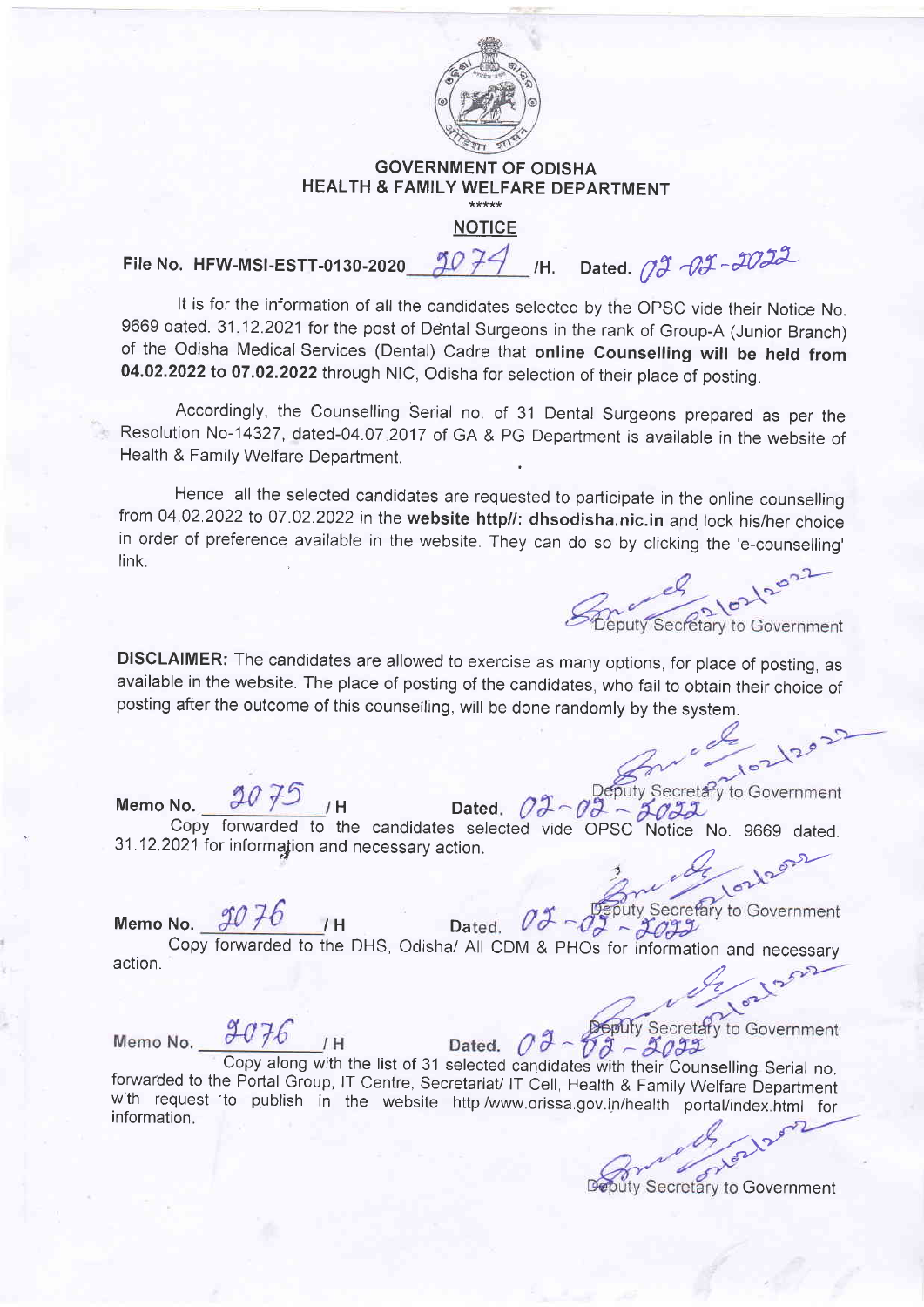

## GOVERNMENT OF ODISHA HEALTH & FAMILY WELFARE DEPARTMENT<br>NOTICE

File No. HFW-MSI-ESTT-0130-2020  $\frac{3077}{1}$  /H. Dated.  $77 - 2022$ 

It is for the information of all the candidates selected by the OPSC vide their Notice No. 9669 dated. 31.12.2021 for the post of Dental Surgeons in the rank of Group-A (Junior Branch) of the Odisha Medical Services (Dental) Cadre that online Counselling will be held from 04.02.2022 to 07.02.2022 through NlC, Odisha for selection of their place of posting.

Accordingly, the Counselling Serial no. of 31 Dental Surgeons prepared as per the Resolution No-14327, dated-04.07 2017 of GA & PG Department is available in the website of Health & Family Welfare Department.

Hence, all the selected candidates are requested to parlicipate in the online counselling from 04.02.2022 to 07.02.2022 in the website http//: dhsodisha.nic.in and lock his/her choice in order of preference available in the website. They can do so by clicking the 'e-counselling' link.

Beputy Secretary to Government

DISCLAIMER: The candidates are allowed to exercise as many options, for place of posting, as available in the website. The place of posting of the candidates, who fail to obtain their choice of posting after the outcome of this counselling, will be done randomly by the system.

Deputy Secretary to Government Memo No.  $\frac{\partial U}{\partial y}$  / H Dated Copy fonruarded to the candidates selected vide OPSC Notice No. 9669 dated.  $31.12.2021$  for information and necessary action.

Memo No.  $\frac{\partial U}{\partial D}$  / H Da

**Sputy Secretary to Government** 

Copy forwarded to the DHS, Odisha/ All CDM & PHOs for information and necessary<br>مسلم t4t'\*

Memo No.  $9076$  /H

Dated.  $\bigcirc \partial \overline{\partial}$ Copy along with the list of 31 selected candidates with their Counselling Serial no.<br>forwarded to the Portal Group, IT Centre, Secretariat/ IT Cell, Health & Family Welfare Department<br>with request 'to publish in the websit with request to publish in the website http:/www.orissa.gov.in/health portal/index.html for

Governmen

w